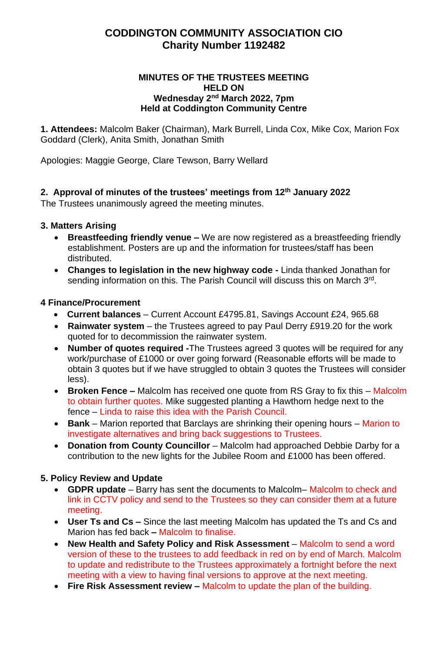# **CODDINGTON COMMUNITY ASSOCIATION CIO Charity Number 1192482**

#### **MINUTES OF THE TRUSTEES MEETING HELD ON Wednesday 2 nd March 2022, 7pm Held at Coddington Community Centre**

**1. Attendees:** Malcolm Baker (Chairman), Mark Burrell, Linda Cox, Mike Cox, Marion Fox Goddard (Clerk), Anita Smith, Jonathan Smith

Apologies: Maggie George, Clare Tewson, Barry Wellard

#### **2. Approval of minutes of the trustees' meetings from 12th January 2022**

The Trustees unanimously agreed the meeting minutes.

#### **3. Matters Arising**

- **Breastfeeding friendly venue –** We are now registered as a breastfeeding friendly establishment. Posters are up and the information for trustees/staff has been distributed.
- **Changes to legislation in the new highway code -** Linda thanked Jonathan for sending information on this. The Parish Council will discuss this on March 3rd.

#### **4 Finance/Procurement**

- **Current balances** Current Account £4795.81, Savings Account £24, 965.68
- **Rainwater system** the Trustees agreed to pay Paul Derry £919.20 for the work quoted for to decommission the rainwater system.
- **Number of quotes required -**The Trustees agreed 3 quotes will be required for any work/purchase of £1000 or over going forward (Reasonable efforts will be made to obtain 3 quotes but if we have struggled to obtain 3 quotes the Trustees will consider less).
- **Broken Fence –** Malcolm has received one quote from RS Gray to fix this Malcolm to obtain further quotes. Mike suggested planting a Hawthorn hedge next to the fence – Linda to raise this idea with the Parish Council.
- **Bank**  Marion reported that Barclays are shrinking their opening hours Marion to investigate alternatives and bring back suggestions to Trustees.
- **Donation from County Councillor** Malcolm had approached Debbie Darby for a contribution to the new lights for the Jubilee Room and £1000 has been offered.

#### **5. Policy Review and Update**

- **GDPR update** Barry has sent the documents to Malcolm– Malcolm to check and link in CCTV policy and send to the Trustees so they can consider them at a future meeting.
- **User Ts and Cs –** Since the last meeting Malcolm has updated the Ts and Cs and Marion has fed back **–** Malcolm to finalise.
- **New Health and Safety Policy and Risk Assessment** Malcolm to send a word version of these to the trustees to add feedback in red on by end of March. Malcolm to update and redistribute to the Trustees approximately a fortnight before the next meeting with a view to having final versions to approve at the next meeting.
- **Fire Risk Assessment review –** Malcolm to update the plan of the building.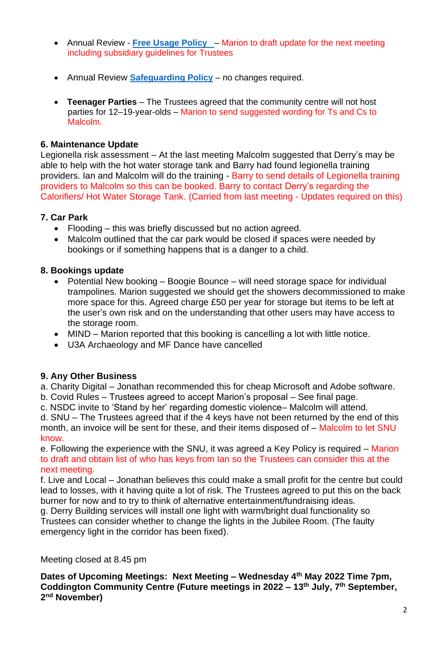- Annual Review **[Free Usage Policy](http://www.coddingtoncommunitycentre.org.uk/shared/attachments.asp?f=7bdddf0e%2Dd73a%2D4e47%2Dbd40%2D7dead6c3a753%2Epdf&o=CCC%2DFree%2DUsage%2DPolicy%2Epdf)**  Marion to draft update for the next meeting including subsidiary guidelines for Trustees
- Annual Review **[Safeguarding Policy](http://www.coddingtoncommunitycentre.org.uk/shared/attachments.asp?f=1e693287%2Dcee8%2D45c9%2D8145%2D3d26e979bbe2%2Epdf&o=Coddington%2DSafeguarding%2DMarch%2D2021%2Epdf)** no changes required.
- **Teenager Parties** The Trustees agreed that the community centre will not host parties for 12–19-year-olds – Marion to send suggested wording for Ts and Cs to Malcolm.

#### **6. Maintenance Update**

Legionella risk assessment – At the last meeting Malcolm suggested that Derry's may be able to help with the hot water storage tank and Barry had found legionella training providers. Ian and Malcolm will do the training - Barry to send details of Legionella training providers to Malcolm so this can be booked. Barry to contact Derry's regarding the Calorifiers/ Hot Water Storage Tank. (Carried from last meeting - Updates required on this)

#### **7. Car Park**

- Flooding this was briefly discussed but no action agreed.
- Malcolm outlined that the car park would be closed if spaces were needed by bookings or if something happens that is a danger to a child.

#### **8. Bookings update**

- Potential New booking Boogie Bounce will need storage space for individual trampolines. Marion suggested we should get the showers decommissioned to make more space for this. Agreed charge £50 per year for storage but items to be left at the user's own risk and on the understanding that other users may have access to the storage room.
- MIND Marion reported that this booking is cancelling a lot with little notice.
- U3A Archaeology and MF Dance have cancelled

#### **9. Any Other Business**

a. Charity Digital – Jonathan recommended this for cheap Microsoft and Adobe software.

- b. Covid Rules Trustees agreed to accept Marion's proposal See final page.
- c. NSDC invite to 'Stand by her' regarding domestic violence– Malcolm will attend.

d. SNU – The Trustees agreed that if the 4 keys have not been returned by the end of this month, an invoice will be sent for these, and their items disposed of – Malcolm to let SNU know.

e. Following the experience with the SNU, it was agreed a Key Policy is required – Marion to draft and obtain list of who has keys from Ian so the Trustees can consider this at the next meeting.

f. Live and Local – Jonathan believes this could make a small profit for the centre but could lead to losses, with it having quite a lot of risk. The Trustees agreed to put this on the back burner for now and to try to think of alternative entertainment/fundraising ideas.

g. Derry Building services will install one light with warm/bright dual functionality so Trustees can consider whether to change the lights in the Jubilee Room. (The faulty emergency light in the corridor has been fixed).

Meeting closed at 8.45 pm

**Dates of Upcoming Meetings: Next Meeting – Wednesday 4 th May 2022 Time 7pm, Coddington Community Centre (Future meetings in 2022 – 13th July, 7 th September, 2 nd November)**